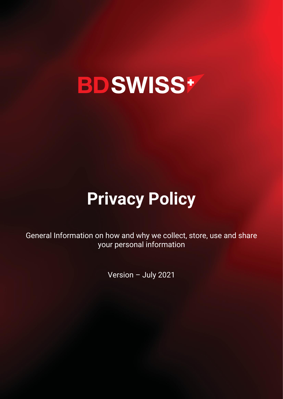

# **Privacy Policy**

General Information on how and why we collect, store, use and share your personal information

Version – July 2021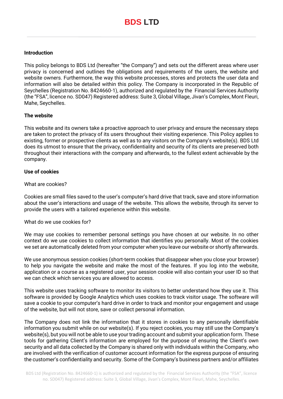#### **Introduction**

This policy belongs to BDS Ltd (hereafter "the Company") and sets out the different areas where user privacy is concerned and outlines the obligations and requirements of the users, the website and website owners. Furthermore, the way this website processes, stores and protects the user data and information will also be detailed within this policy. The Company is incorporated in the Republic of Seychelles (Registration No. 8424660-1), authorized and regulated by the Financial Services Authority (the "FSA", licence no. SD047) Registered address: Suite 3, Global Village, Jivan's Complex, Mont Fleuri, Mahe, Seychelles.

#### **The website**

This website and its owners take a proactive approach to user privacy and ensure the necessary steps are taken to protect the privacy of its users throughout their visiting experience. This Policy applies to existing, former or prospective clients as well as to any visitors on the Company's website(s). BDS Ltd does its utmost to ensure that the privacy, confidentiality and security of its clients are preserved both throughout their interactions with the company and afterwards, to the fullest extent achievable by the company.

#### **Use of cookies**

#### What are cookies?

Cookies are small files saved to the user's computer's hard drive that track, save and store information about the user's interactions and usage of the website. This allows the website, through its server to provide the users with a tailored experience within this website.

## What do we use cookies for?

We may use cookies to remember personal settings you have chosen at our website. In no other context do we use cookies to collect information that identifies you personally. Most of the cookies we set are automatically deleted from your computer when you leave our website or shortly afterwards.

We use anonymous session cookies (short-term cookies that disappear when you close your browser) to help you navigate the website and make the most of the features. If you log into the website, application or a course as a registered user, your session cookie will also contain your user ID so that we can check which services you are allowed to access.

This website uses tracking software to monitor its visitors to better understand how they use it. This software is provided by Google Analytics which uses cookies to track visitor usage. The software will save a cookie to your computer's hard drive in order to track and monitor your engagement and usage of the website, but will not store, save or collect personal information.

The Company does not link the information that it stores in cookies to any personally identifiable information you submit while on our website(s). If you reject cookies, you may still use the Company's website(s), but you will not be able to use your trading account and submit your application form. These tools for gathering Client's information are employed for the purpose of ensuring the Client's own security and all data collected by the Company is shared only with individuals within the Company, who are involved with the verification of customer account information for the express purpose of ensuring the customer's confidentiality and security. Some of the Company's business partners and/or affiliates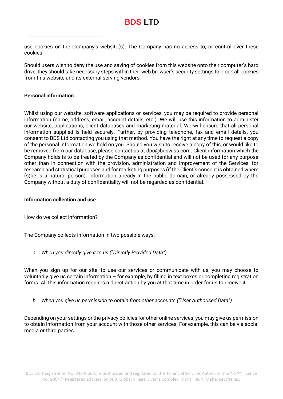use cookies on the Company's website(s). The Company has no access to, or control over these cookies.

Should users wish to deny the use and saving of cookies from this website onto their computer's hard drive, they should take necessary steps within their web browser's security settings to block all cookies from this website and its external serving vendors.

#### **Personal information**

Whilst using our website, software applications or services, you may be required to provide personal information (name, address, email, account details, etc.). We will use this information to administer our website, applications, client databases and marketing material. We will ensure that all personal information supplied is held securely. Further, by providing telephone, fax and email details, you consent to BDS Ltd contacting you using that method. You have the right at any time to request a copy of the personal information we hold on you. Should you wish to receive a copy of this, or would like to be removed from our database, please contact us at dpo@bdswiss.com. Client information which the Company holds is to be treated by the Company as confidential and will not be used for any purpose other than in connection with the provision, administration and improvement of the Services, for research and statistical purposes and for marketing purposes (if the Client's consent is obtained where (s)he is a natural person). Information already in the public domain, or already possessed by the Company without a duty of confidentiality will not be regarded as confidential.

#### **Information collection and use**

How do we collect information?

The Company collects information in two possible ways:

*a. When you directly give it to us ("Directly Provided Data")* 

When you sign up for our site, to use our services or communicate with us, you may choose to voluntarily give us certain information – for example, by filling in text boxes or completing registration forms. All this information requires a direct action by you at that time in order for us to receive it.

*b. When you give us permission to obtain from other accounts ("User Authorised Data")* 

Depending on your settings or the privacy policies for other online services, you may give us permission to obtain information from your account with those other services. For example, this can be via social media or third parties.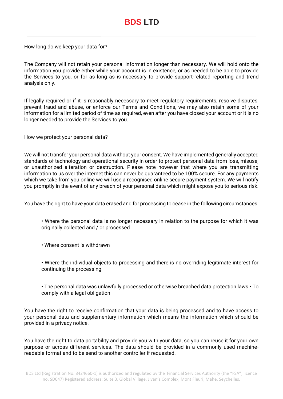How long do we keep your data for?

The Company will not retain your personal information longer than necessary. We will hold onto the information you provide either while your account is in existence, or as needed to be able to provide the Services to you, or for as long as is necessary to provide support-related reporting and trend analysis only.

If legally required or if it is reasonably necessary to meet regulatory requirements, resolve disputes, prevent fraud and abuse, or enforce our Terms and Conditions, we may also retain some of your information for a limited period of time as required, even after you have closed your account or it is no longer needed to provide the Services to you.

How we protect your personal data?

We will not transfer your personal data without your consent. We have implemented generally accepted standards of technology and operational security in order to protect personal data from loss, misuse, or unauthorized alteration or destruction. Please note however that where you are transmitting information to us over the internet this can never be guaranteed to be 100% secure. For any payments which we take from you online we will use a recognised online secure payment system. We will notify you promptly in the event of any breach of your personal data which might expose you to serious risk.

You have the right to have your data erased and for processing to cease in the following circumstances:

- Where the personal data is no longer necessary in relation to the purpose for which it was originally collected and / or processed
- Where consent is withdrawn
- Where the individual objects to processing and there is no overriding legitimate interest for continuing the processing
- The personal data was unlawfully processed or otherwise breached data protection laws To comply with a legal obligation

You have the right to receive confirmation that your data is being processed and to have access to your personal data and supplementary information which means the information which should be provided in a privacy notice.

You have the right to data portability and provide you with your data, so you can reuse it for your own purpose or across different services. The data should be provided in a commonly used machinereadable format and to be send to another controller if requested.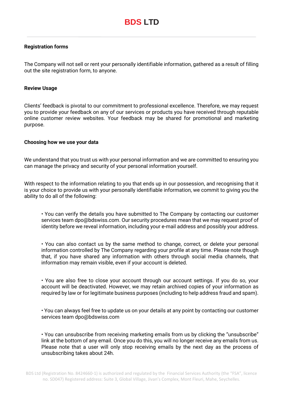## **Registration forms**

The Company will not sell or rent your personally identifiable information, gathered as a result of filling out the site registration form, to anyone.

### **Review Usage**

Clients' feedback is pivotal to our commitment to professional excellence. Therefore, we may request you to provide your feedback on any of our services or products you have received through reputable online customer review websites. Your feedback may be shared for promotional and marketing purpose.

#### **Choosing how we use your data**

We understand that you trust us with your personal information and we are committed to ensuring you can manage the privacy and security of your personal information yourself.

With respect to the information relating to you that ends up in our possession, and recognising that it is your choice to provide us with your personally identifiable information, we commit to giving you the ability to do all of the following:

• You can verify the details you have submitted to The Company by contacting our customer services team dpo@bdswiss.com. Our security procedures mean that we may request proof of identity before we reveal information, including your e-mail address and possibly your address.

• You can also contact us by the same method to change, correct, or delete your personal information controlled by The Company regarding your profile at any time. Please note though that, if you have shared any information with others through social media channels, that information may remain visible, even if your account is deleted.

• You are also free to close your account through our account settings. If you do so, your account will be deactivated. However, we may retain archived copies of your information as required by law or for legitimate business purposes (including to help address fraud and spam).

• You can always feel free to update us on your details at any point by contacting our customer services team dpo@bdswiss.com

• You can unsubscribe from receiving marketing emails from us by clicking the "unsubscribe" link at the bottom of any email. Once you do this, you will no longer receive any emails from us. Please note that a user will only stop receiving emails by the next day as the process of unsubscribing takes about 24h.